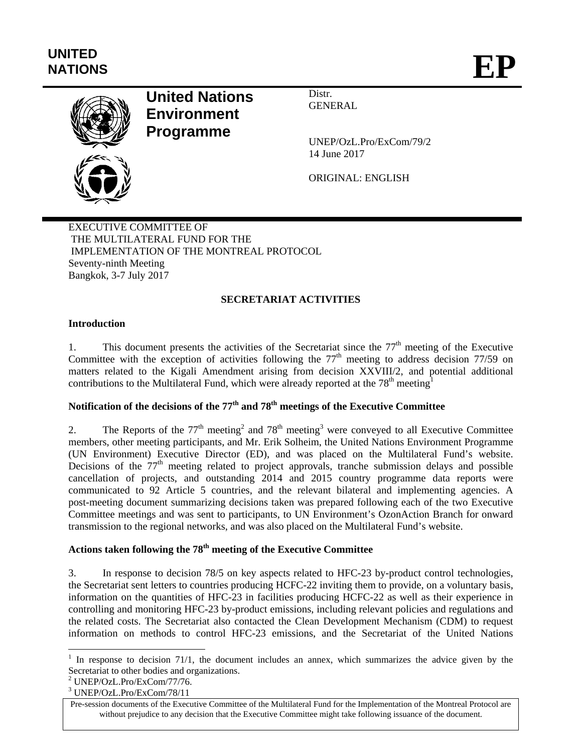# **UNITED**  UNITED<br>NATIONS **EP**



# **United Nations Environment Programme**

Distr. **GENERAL** 

UNEP/OzL.Pro/ExCom/79/2 14 June 2017

ORIGINAL: ENGLISH

EXECUTIVE COMMITTEE OF THE MULTILATERAL FUND FOR THE IMPLEMENTATION OF THE MONTREAL PROTOCOL Seventy-ninth Meeting Bangkok, 3-7 July 2017

# **SECRETARIAT ACTIVITIES**

# **Introduction**

1. This document presents the activities of the Secretariat since the 77<sup>th</sup> meeting of the Executive Committee with the exception of activities following the  $77<sup>th</sup>$  meeting to address decision  $77/59$  on matters related to the Kigali Amendment arising from decision XXVIII/2, and potential additional contributions to the Multilateral Fund, which were already reported at the  $78<sup>th</sup>$  meeting<sup>1</sup>

# **Notification of the decisions of the 77th and 78th meetings of the Executive Committee**

2. The Reports of the  $77<sup>th</sup>$  meeting<sup>2</sup> and  $78<sup>th</sup>$  meeting<sup>3</sup> were conveyed to all Executive Committee members, other meeting participants, and Mr. Erik Solheim, the United Nations Environment Programme (UN Environment) Executive Director (ED), and was placed on the Multilateral Fund's website. Decisions of the  $77<sup>th</sup>$  meeting related to project approvals, tranche submission delays and possible cancellation of projects, and outstanding 2014 and 2015 country programme data reports were communicated to 92 Article 5 countries, and the relevant bilateral and implementing agencies. A post-meeting document summarizing decisions taken was prepared following each of the two Executive Committee meetings and was sent to participants, to UN Environment's OzonAction Branch for onward transmission to the regional networks, and was also placed on the Multilateral Fund's website.

# **Actions taken following the 78th meeting of the Executive Committee**

3. In response to decision 78/5 on key aspects related to HFC-23 by-product control technologies, the Secretariat sent letters to countries producing HCFC-22 inviting them to provide, on a voluntary basis, information on the quantities of HFC-23 in facilities producing HCFC-22 as well as their experience in controlling and monitoring HFC-23 by-product emissions, including relevant policies and regulations and the related costs. The Secretariat also contacted the Clean Development Mechanism (CDM) to request information on methods to control HFC-23 emissions, and the Secretariat of the United Nations

 $\overline{\phantom{a}}$ 

<sup>&</sup>lt;sup>1</sup> In response to decision 71/1, the document includes an annex, which summarizes the advice given by the Secretariat to other bodies and organizations.

<sup>2</sup> UNEP/OzL.Pro/ExCom/77/76.

<sup>3</sup> UNEP/OzL.Pro/ExCom/78/11

Pre-session documents of the Executive Committee of the Multilateral Fund for the Implementation of the Montreal Protocol are without prejudice to any decision that the Executive Committee might take following issuance of the document.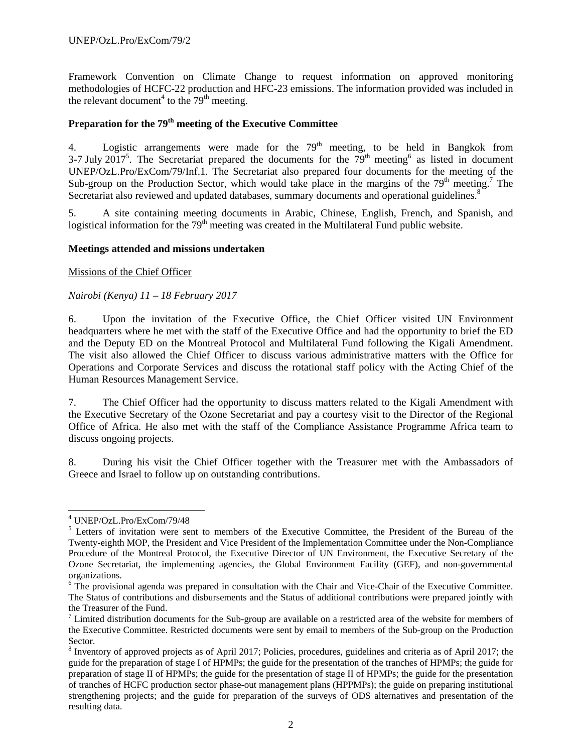Framework Convention on Climate Change to request information on approved monitoring methodologies of HCFC-22 production and HFC-23 emissions. The information provided was included in the relevant document<sup>4</sup> to the  $79<sup>th</sup>$  meeting.

# **Preparation for the 79th meeting of the Executive Committee**

4. Logistic arrangements were made for the 79<sup>th</sup> meeting, to be held in Bangkok from 3-7 July 2017<sup>5</sup>. The Secretariat prepared the documents for the  $79<sup>th</sup>$  meeting<sup>6</sup> as listed in document UNEP/OzL.Pro/ExCom/79/Inf.1. The Secretariat also prepared four documents for the meeting of the Sub-group on the Production Sector, which would take place in the margins of the  $79<sup>th</sup>$  meeting.<sup>7</sup> The Secretariat also reviewed and updated databases, summary documents and operational guidelines.<sup>8</sup>

5. A site containing meeting documents in Arabic, Chinese, English, French, and Spanish, and logistical information for the  $79<sup>th</sup>$  meeting was created in the Multilateral Fund public website.

#### **Meetings attended and missions undertaken**

Missions of the Chief Officer

# *Nairobi (Kenya) 11 – 18 February 2017*

6. Upon the invitation of the Executive Office, the Chief Officer visited UN Environment headquarters where he met with the staff of the Executive Office and had the opportunity to brief the ED and the Deputy ED on the Montreal Protocol and Multilateral Fund following the Kigali Amendment. The visit also allowed the Chief Officer to discuss various administrative matters with the Office for Operations and Corporate Services and discuss the rotational staff policy with the Acting Chief of the Human Resources Management Service.

7. The Chief Officer had the opportunity to discuss matters related to the Kigali Amendment with the Executive Secretary of the Ozone Secretariat and pay a courtesy visit to the Director of the Regional Office of Africa. He also met with the staff of the Compliance Assistance Programme Africa team to discuss ongoing projects.

8. During his visit the Chief Officer together with the Treasurer met with the Ambassadors of Greece and Israel to follow up on outstanding contributions.

1

<sup>4</sup> UNEP/OzL.Pro/ExCom/79/48

<sup>&</sup>lt;sup>5</sup> Letters of invitation were sent to members of the Executive Committee, the President of the Bureau of the Twenty-eighth MOP, the President and Vice President of the Implementation Committee under the Non-Compliance Procedure of the Montreal Protocol, the Executive Director of UN Environment, the Executive Secretary of the Ozone Secretariat, the implementing agencies, the Global Environment Facility (GEF), and non-governmental organizations.

<sup>&</sup>lt;sup>6</sup> The provisional agenda was prepared in consultation with the Chair and Vice-Chair of the Executive Committee. The Status of contributions and disbursements and the Status of additional contributions were prepared jointly with the Treasurer of the Fund.

 $\frac{7}{1}$  Limited distribution documents for the Sub-group are available on a restricted area of the website for members of the Executive Committee. Restricted documents were sent by email to members of the Sub-group on the Production Sector.

 $8$  Inventory of approved projects as of April 2017; Policies, procedures, guidelines and criteria as of April 2017; the guide for the preparation of stage I of HPMPs; the guide for the presentation of the tranches of HPMPs; the guide for preparation of stage II of HPMPs; the guide for the presentation of stage II of HPMPs; the guide for the presentation of tranches of HCFC production sector phase-out management plans (HPPMPs); the guide on preparing institutional strengthening projects; and the guide for preparation of the surveys of ODS alternatives and presentation of the resulting data.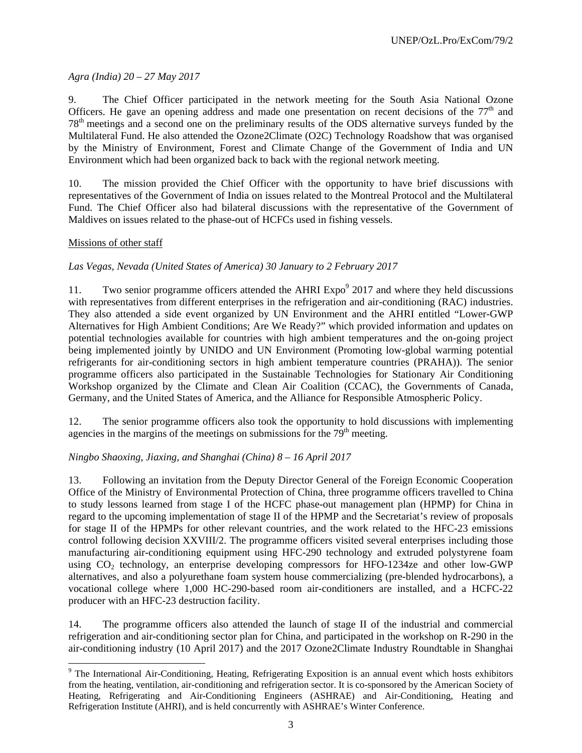# *Agra (India) 20 – 27 May 2017*

9. The Chief Officer participated in the network meeting for the South Asia National Ozone Officers. He gave an opening address and made one presentation on recent decisions of the  $77<sup>th</sup>$  and 78th meetings and a second one on the preliminary results of the ODS alternative surveys funded by the Multilateral Fund. He also attended the Ozone2Climate (O2C) Technology Roadshow that was organised by the Ministry of Environment, Forest and Climate Change of the Government of India and UN Environment which had been organized back to back with the regional network meeting.

10. The mission provided the Chief Officer with the opportunity to have brief discussions with representatives of the Government of India on issues related to the Montreal Protocol and the Multilateral Fund. The Chief Officer also had bilateral discussions with the representative of the Government of Maldives on issues related to the phase-out of HCFCs used in fishing vessels.

# Missions of other staff

# *Las Vegas, Nevada (United States of America) 30 January to 2 February 2017*

11. Two senior programme officers attended the AHRI  $Expo<sup>9</sup>$  2017 and where they held discussions with representatives from different enterprises in the refrigeration and air-conditioning (RAC) industries. They also attended a side event organized by UN Environment and the AHRI entitled "Lower-GWP Alternatives for High Ambient Conditions; Are We Ready?" which provided information and updates on potential technologies available for countries with high ambient temperatures and the on-going project being implemented jointly by UNIDO and UN Environment (Promoting low-global warming potential refrigerants for air-conditioning sectors in high ambient temperature countries (PRAHA)). The senior programme officers also participated in the Sustainable Technologies for Stationary Air Conditioning Workshop organized by the Climate and Clean Air Coalition (CCAC), the Governments of Canada, Germany, and the United States of America, and the Alliance for Responsible Atmospheric Policy.

12. The senior programme officers also took the opportunity to hold discussions with implementing agencies in the margins of the meetings on submissions for the  $79<sup>th</sup>$  meeting.

#### *Ningbo Shaoxing, Jiaxing, and Shanghai (China) 8 – 16 April 2017*

13. Following an invitation from the Deputy Director General of the Foreign Economic Cooperation Office of the Ministry of Environmental Protection of China, three programme officers travelled to China to study lessons learned from stage I of the HCFC phase-out management plan (HPMP) for China in regard to the upcoming implementation of stage II of the HPMP and the Secretariat's review of proposals for stage II of the HPMPs for other relevant countries, and the work related to the HFC-23 emissions control following decision XXVIII/2. The programme officers visited several enterprises including those manufacturing air-conditioning equipment using HFC-290 technology and extruded polystyrene foam using  $CO<sub>2</sub>$  technology, an enterprise developing compressors for HFO-1234ze and other low-GWP alternatives, and also a polyurethane foam system house commercializing (pre-blended hydrocarbons), a vocational college where 1,000 HC-290-based room air-conditioners are installed, and a HCFC-22 producer with an HFC-23 destruction facility.

14. The programme officers also attended the launch of stage II of the industrial and commercial refrigeration and air-conditioning sector plan for China, and participated in the workshop on R-290 in the air-conditioning industry (10 April 2017) and the 2017 Ozone2Climate Industry Roundtable in Shanghai

<sup>&</sup>lt;sup>9</sup> The International Air-Conditioning, Heating, Refrigerating Exposition is an annual event which hosts exhibitors from the heating, ventilation, air-conditioning and refrigeration sector. It is co-sponsored by the American Society of Heating, Refrigerating and Air-Conditioning Engineers (ASHRAE) and Air-Conditioning, Heating and Refrigeration Institute (AHRI), and is held concurrently with ASHRAE's Winter Conference.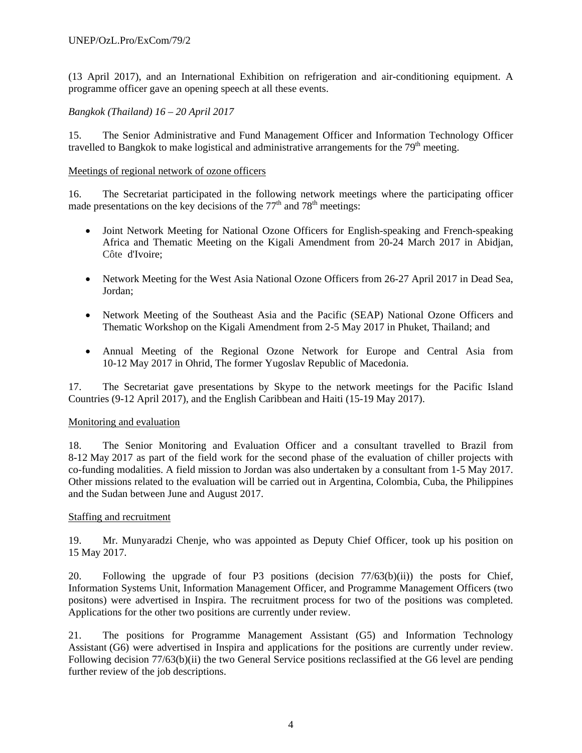(13 April 2017), and an International Exhibition on refrigeration and air-conditioning equipment. A programme officer gave an opening speech at all these events.

# *Bangkok (Thailand) 16 – 20 April 2017*

15. The Senior Administrative and Fund Management Officer and Information Technology Officer travelled to Bangkok to make logistical and administrative arrangements for the  $79<sup>th</sup>$  meeting.

#### Meetings of regional network of ozone officers

16. The Secretariat participated in the following network meetings where the participating officer made presentations on the key decisions of the  $77<sup>th</sup>$  and  $78<sup>th</sup>$  meetings:

- Joint Network Meeting for National Ozone Officers for English-speaking and French-speaking Africa and Thematic Meeting on the Kigali Amendment from 20-24 March 2017 in Abidjan, Côte d'Ivoire;
- Network Meeting for the West Asia National Ozone Officers from 26-27 April 2017 in Dead Sea, Jordan;
- Network Meeting of the Southeast Asia and the Pacific (SEAP) National Ozone Officers and Thematic Workshop on the Kigali Amendment from 2-5 May 2017 in Phuket, Thailand; and
- Annual Meeting of the Regional Ozone Network for Europe and Central Asia from 10-12 May 2017 in Ohrid, The former Yugoslav Republic of Macedonia.

17. The Secretariat gave presentations by Skype to the network meetings for the Pacific Island Countries (9-12 April 2017), and the English Caribbean and Haiti (15-19 May 2017).

#### Monitoring and evaluation

18. The Senior Monitoring and Evaluation Officer and a consultant travelled to Brazil from 8-12 May 2017 as part of the field work for the second phase of the evaluation of chiller projects with co-funding modalities. A field mission to Jordan was also undertaken by a consultant from 1-5 May 2017. Other missions related to the evaluation will be carried out in Argentina, Colombia, Cuba, the Philippines and the Sudan between June and August 2017.

#### Staffing and recruitment

19. Mr. Munyaradzi Chenje, who was appointed as Deputy Chief Officer, took up his position on 15 May 2017.

20. Following the upgrade of four P3 positions (decision 77/63(b)(ii)) the posts for Chief, Information Systems Unit, Information Management Officer, and Programme Management Officers (two positons) were advertised in Inspira. The recruitment process for two of the positions was completed. Applications for the other two positions are currently under review.

21. The positions for Programme Management Assistant (G5) and Information Technology Assistant (G6) were advertised in Inspira and applications for the positions are currently under review. Following decision 77/63(b)(ii) the two General Service positions reclassified at the G6 level are pending further review of the job descriptions.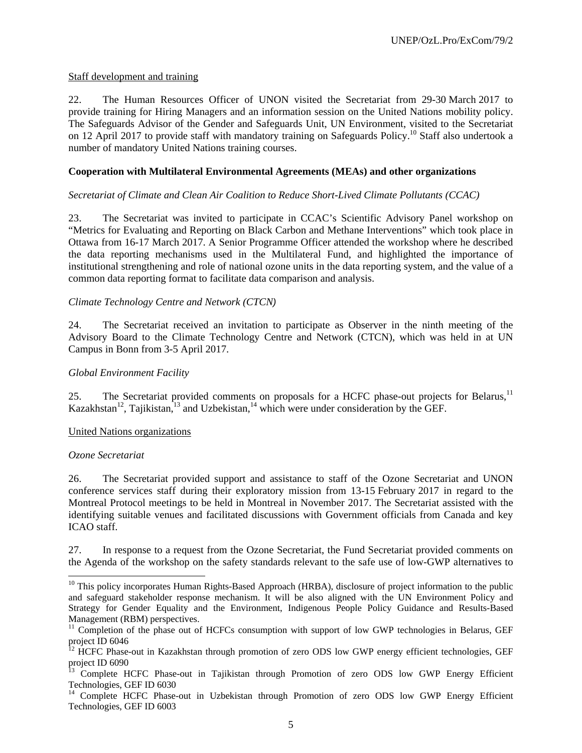# Staff development and training

22. The Human Resources Officer of UNON visited the Secretariat from 29-30 March 2017 to provide training for Hiring Managers and an information session on the United Nations mobility policy. The Safeguards Advisor of the Gender and Safeguards Unit, UN Environment, visited to the Secretariat on 12 April 2017 to provide staff with mandatory training on Safeguards Policy.<sup>10</sup> Staff also undertook a number of mandatory United Nations training courses.

## **Cooperation with Multilateral Environmental Agreements (MEAs) and other organizations**

#### *Secretariat of Climate and Clean Air Coalition to Reduce Short-Lived Climate Pollutants (CCAC)*

23. The Secretariat was invited to participate in CCAC's Scientific Advisory Panel workshop on "Metrics for Evaluating and Reporting on Black Carbon and Methane Interventions" which took place in Ottawa from 16-17 March 2017. A Senior Programme Officer attended the workshop where he described the data reporting mechanisms used in the Multilateral Fund, and highlighted the importance of institutional strengthening and role of national ozone units in the data reporting system, and the value of a common data reporting format to facilitate data comparison and analysis.

# *Climate Technology Centre and Network (CTCN)*

24. The Secretariat received an invitation to participate as Observer in the ninth meeting of the Advisory Board to the Climate Technology Centre and Network (CTCN), which was held in at UN Campus in Bonn from 3-5 April 2017.

## *Global Environment Facility*

25. The Secretariat provided comments on proposals for a HCFC phase-out projects for Belarus,<sup>11</sup> Kazakhstan<sup>12</sup>, Tajikistan,<sup>13</sup> and Uzbekistan,<sup>14</sup> which were under consideration by the GEF.

#### United Nations organizations

#### *Ozone Secretariat*

l

26. The Secretariat provided support and assistance to staff of the Ozone Secretariat and UNON conference services staff during their exploratory mission from 13-15 February 2017 in regard to the Montreal Protocol meetings to be held in Montreal in November 2017. The Secretariat assisted with the identifying suitable venues and facilitated discussions with Government officials from Canada and key ICAO staff.

27. In response to a request from the Ozone Secretariat, the Fund Secretariat provided comments on the Agenda of the workshop on the safety standards relevant to the safe use of low-GWP alternatives to

<sup>&</sup>lt;sup>10</sup> This policy incorporates Human Rights-Based Approach (HRBA), disclosure of project information to the public and safeguard stakeholder response mechanism. It will be also aligned with the UN Environment Policy and Strategy for Gender Equality and the Environment, Indigenous People Policy Guidance and Results-Based Management (RBM) perspectives.

<sup>&</sup>lt;sup>11</sup> Completion of the phase out of HCFCs consumption with support of low GWP technologies in Belarus, GEF project ID 6046

<sup>&</sup>lt;sup>12</sup> HCFC Phase-out in Kazakhstan through promotion of zero ODS low GWP energy efficient technologies, GEF project ID 6090

<sup>13</sup> Complete HCFC Phase-out in Tajikistan through Promotion of zero ODS low GWP Energy Efficient Technologies, GEF ID 6030

<sup>&</sup>lt;sup>14</sup> Complete HCFC Phase-out in Uzbekistan through Promotion of zero ODS low GWP Energy Efficient Technologies, GEF ID 6003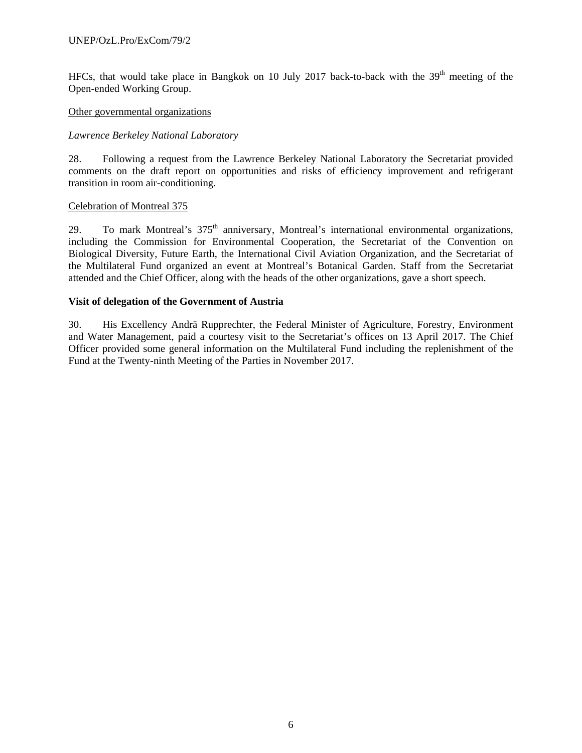HFCs, that would take place in Bangkok on 10 July 2017 back-to-back with the  $39<sup>th</sup>$  meeting of the Open-ended Working Group.

#### Other governmental organizations

#### *Lawrence Berkeley National Laboratory*

28. Following a request from the Lawrence Berkeley National Laboratory the Secretariat provided comments on the draft report on opportunities and risks of efficiency improvement and refrigerant transition in room air-conditioning.

#### Celebration of Montreal 375

29. To mark Montreal's 375<sup>th</sup> anniversary, Montreal's international environmental organizations, including the Commission for Environmental Cooperation, the Secretariat of the Convention on Biological Diversity, Future Earth, the International Civil Aviation Organization, and the Secretariat of the Multilateral Fund organized an event at Montreal's Botanical Garden. Staff from the Secretariat attended and the Chief Officer, along with the heads of the other organizations, gave a short speech.

#### **Visit of delegation of the Government of Austria**

30. His Excellency Andrä Rupprechter, the Federal Minister of Agriculture, Forestry, Environment and Water Management, paid a courtesy visit to the Secretariat's offices on 13 April 2017. The Chief Officer provided some general information on the Multilateral Fund including the replenishment of the Fund at the Twenty-ninth Meeting of the Parties in November 2017.